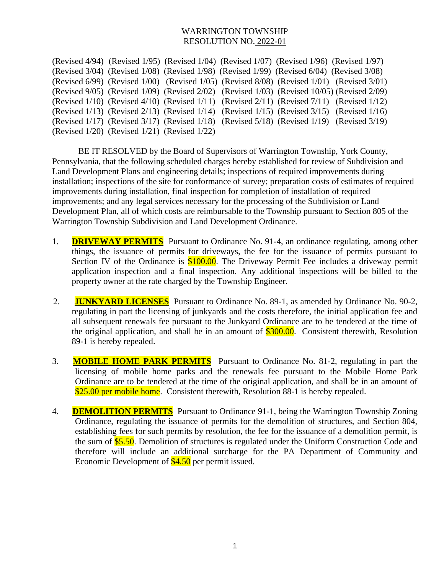## WARRINGTON TOWNSHIP RESOLUTION NO. 2022-01

(Revised 4/94) (Revised 1/95) (Revised 1/04) (Revised 1/07) (Revised 1/96) (Revised 1/97) (Revised 3/04) (Revised 1/08) (Revised 1/98) (Revised 1/99) (Revised 6/04) (Revised 3/08) (Revised 6/99) (Revised 1/00) (Revised 1/05) (Revised 8/08) (Revised 1/01) (Revised 3/01) (Revised 9/05) (Revised 1/09) (Revised 2/02) (Revised 1/03) (Revised 10/05) (Revised 2/09) (Revised 1/10) (Revised 4/10) (Revised 1/11) (Revised 2/11) (Revised 7/11) (Revised 1/12) (Revised 1/13) (Revised 2/13) (Revised 1/14) (Revised 1/15) (Revised 3/15) (Revised 1/16) (Revised 1/17) (Revised 3/17) (Revised 1/18) (Revised 5/18) (Revised 1/19) (Revised 3/19) (Revised 1/20) (Revised 1/21) (Revised 1/22)

BE IT RESOLVED by the Board of Supervisors of Warrington Township, York County, Pennsylvania, that the following scheduled charges hereby established for review of Subdivision and Land Development Plans and engineering details; inspections of required improvements during installation; inspections of the site for conformance of survey; preparation costs of estimates of required improvements during installation, final inspection for completion of installation of required improvements; and any legal services necessary for the processing of the Subdivision or Land Development Plan, all of which costs are reimbursable to the Township pursuant to Section 805 of the Warrington Township Subdivision and Land Development Ordinance.

- 1. **DRIVEWAY PERMITS** Pursuant to Ordinance No. 91-4, an ordinance regulating, among other things, the issuance of permits for driveways, the fee for the issuance of permits pursuant to Section IV of the Ordinance is \$100.00. The Driveway Permit Fee includes a driveway permit application inspection and a final inspection. Any additional inspections will be billed to the property owner at the rate charged by the Township Engineer.
- 2. **JUNKYARD LICENSES** Pursuant to Ordinance No. 89-1, as amended by Ordinance No. 90-2, regulating in part the licensing of junkyards and the costs therefore, the initial application fee and all subsequent renewals fee pursuant to the Junkyard Ordinance are to be tendered at the time of the original application, and shall be in an amount of  $$300.00$ . Consistent therewith, Resolution 89-1 is hereby repealed.
- 3. **MOBILE HOME PARK PERMITS** Pursuant to Ordinance No. 81-2, regulating in part the licensing of mobile home parks and the renewals fee pursuant to the Mobile Home Park Ordinance are to be tendered at the time of the original application, and shall be in an amount of \$25.00 per mobile home. Consistent therewith, Resolution 88-1 is hereby repealed.
- 4. **DEMOLITION PERMITS** Pursuant to Ordinance 91-1, being the Warrington Township Zoning Ordinance, regulating the issuance of permits for the demolition of structures, and Section 804, establishing fees for such permits by resolution, the fee for the issuance of a demolition permit, is the sum of **\$5.50**. Demolition of structures is regulated under the Uniform Construction Code and therefore will include an additional surcharge for the PA Department of Community and Economic Development of \$4.50 per permit issued.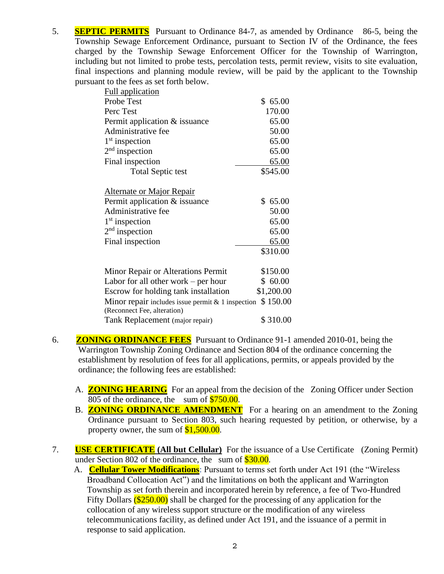5. **SEPTIC PERMITS** Pursuant to Ordinance 84-7, as amended by Ordinance 86-5, being the Township Sewage Enforcement Ordinance, pursuant to Section IV of the Ordinance, the fees charged by the Township Sewage Enforcement Officer for the Township of Warrington, including but not limited to probe tests, percolation tests, permit review, visits to site evaluation, final inspections and planning module review, will be paid by the applicant to the Township pursuant to the fees as set forth below.

| <b>Full application</b>                             |              |
|-----------------------------------------------------|--------------|
| Probe Test                                          | \$65.00      |
| Perc Test                                           | 170.00       |
| Permit application & issuance                       | 65.00        |
| Administrative fee                                  | 50.00        |
| $1st$ inspection                                    | 65.00        |
| $2nd$ inspection                                    | 65.00        |
| Final inspection                                    | 65.00        |
| <b>Total Septic test</b>                            | \$545.00     |
| <u>Alternate or Major Repair</u>                    |              |
| Permit application & issuance                       | \$65.00      |
| Administrative fee                                  | 50.00        |
| $1st$ inspection                                    | 65.00        |
| $2nd$ inspection                                    | 65.00        |
| Final inspection                                    | <u>65.00</u> |
|                                                     | \$310.00     |
| Minor Repair or Alterations Permit                  | \$150.00     |
| Labor for all other work $-$ per hour               | \$60.00      |
| Escrow for holding tank installation                | \$1,200.00   |
| Minor repair includes issue permit $& 1$ inspection | \$150.00     |
| (Reconnect Fee, alteration)                         |              |
| Tank Replacement (major repair)                     | \$310.00     |

- 6. **ZONING ORDINANCE FEES** Pursuant to Ordinance 91-1 amended 2010-01, being the Warrington Township Zoning Ordinance and Section 804 of the ordinance concerning the establishment by resolution of fees for all applications, permits, or appeals provided by the ordinance; the following fees are established:
	- A. **ZONING HEARING** For an appeal from the decision of the Zoning Officer under Section 805 of the ordinance, the sum of  $$750.00$ .
	- B. **ZONING ORDINANCE AMENDMENT** For a hearing on an amendment to the Zoning Ordinance pursuant to Section 803, such hearing requested by petition, or otherwise, by a property owner, the sum of  $$1,500.00$ .
- 7. **USE CERTIFICATE (All but Cellular)** For the issuance of a Use Certificate (Zoning Permit) under Section 802 of the ordinance, the sum of  $$30.00$ .
	- A. **Cellular Tower Modifications**: Pursuant to terms set forth under Act 191 (the "Wireless Broadband Collocation Act") and the limitations on both the applicant and Warrington Township as set forth therein and incorporated herein by reference, a fee of Two-Hundred Fifty Dollars  $(\$250.00)$  shall be charged for the processing of any application for the collocation of any wireless support structure or the modification of any wireless telecommunications facility, as defined under Act 191, and the issuance of a permit in response to said application.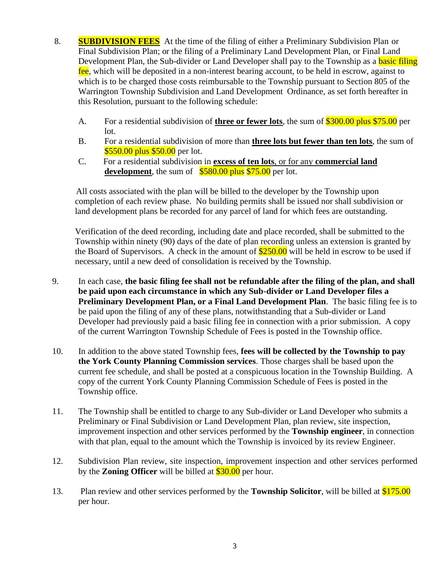- 8. **SUBDIVISION FEES** At the time of the filing of either a Preliminary Subdivision Plan or Final Subdivision Plan; or the filing of a Preliminary Land Development Plan, or Final Land Development Plan, the Sub-divider or Land Developer shall pay to the Township as a **basic filing** fee, which will be deposited in a non-interest bearing account, to be held in escrow, against to which is to be charged those costs reimbursable to the Township pursuant to Section 805 of the Warrington Township Subdivision and Land Development Ordinance, as set forth hereafter in this Resolution, pursuant to the following schedule:
	- A. For a residential subdivision of **three or fewer lots**, the sum of \$300.00 plus \$75.00 per lot.
	- B. For a residential subdivision of more than **three lots but fewer than ten lots**, the sum of \$550.00 plus \$50.00 per lot.
	- C. For a residential subdivision in **excess of ten lots**, or for any **commercial land development**, the sum of  $$580.00$  plus \$75.00 per lot.

 All costs associated with the plan will be billed to the developer by the Township upon completion of each review phase. No building permits shall be issued nor shall subdivision or land development plans be recorded for any parcel of land for which fees are outstanding.

Verification of the deed recording, including date and place recorded, shall be submitted to the Township within ninety (90) days of the date of plan recording unless an extension is granted by the Board of Supervisors. A check in the amount of  $$250.00$  will be held in escrow to be used if necessary, until a new deed of consolidation is received by the Township.

- 9. In each case, **the basic filing fee shall not be refundable after the filing of the plan, and shall be paid upon each circumstance in which any Sub-divider or Land Developer files a Preliminary Development Plan, or a Final Land Development Plan**. The basic filing fee is to be paid upon the filing of any of these plans, notwithstanding that a Sub-divider or Land Developer had previously paid a basic filing fee in connection with a prior submission. A copy of the current Warrington Township Schedule of Fees is posted in the Township office.
- 10. In addition to the above stated Township fees, **fees will be collected by the Township to pay the York County Planning Commission services**. Those charges shall be based upon the current fee schedule, and shall be posted at a conspicuous location in the Township Building. A copy of the current York County Planning Commission Schedule of Fees is posted in the Township office.
- 11. The Township shall be entitled to charge to any Sub-divider or Land Developer who submits a Preliminary or Final Subdivision or Land Development Plan, plan review, site inspection, improvement inspection and other services performed by the **Township engineer**, in connection with that plan, equal to the amount which the Township is invoiced by its review Engineer.
- 12. Subdivision Plan review, site inspection, improvement inspection and other services performed by the **Zoning Officer** will be billed at \$30.00 per hour.
- 13. Plan review and other services performed by the **Township Solicitor**, will be billed at \$175.00 per hour.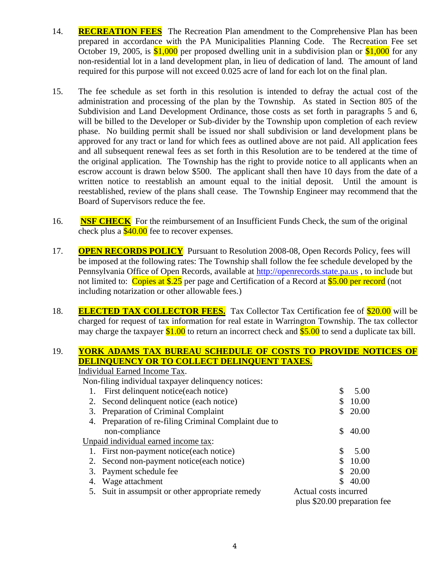- 14. **RECREATION FEES** The Recreation Plan amendment to the Comprehensive Plan has been prepared in accordance with the PA Municipalities Planning Code. The Recreation Fee set October 19, 2005, is  $$1,000$  per proposed dwelling unit in a subdivision plan or  $$1,000$  for any non-residential lot in a land development plan, in lieu of dedication of land. The amount of land required for this purpose will not exceed 0.025 acre of land for each lot on the final plan.
- 15. The fee schedule as set forth in this resolution is intended to defray the actual cost of the administration and processing of the plan by the Township. As stated in Section 805 of the Subdivision and Land Development Ordinance, those costs as set forth in paragraphs 5 and 6, will be billed to the Developer or Sub-divider by the Township upon completion of each review phase. No building permit shall be issued nor shall subdivision or land development plans be approved for any tract or land for which fees as outlined above are not paid. All application fees and all subsequent renewal fees as set forth in this Resolution are to be tendered at the time of the original application. The Township has the right to provide notice to all applicants when an escrow account is drawn below \$500. The applicant shall then have 10 days from the date of a written notice to reestablish an amount equal to the initial deposit. Until the amount is reestablished, review of the plans shall cease. The Township Engineer may recommend that the Board of Supervisors reduce the fee.
- 16. **NSF CHECK** For the reimbursement of an Insufficient Funds Check, the sum of the original check plus a  $$40.00$  fee to recover expenses.
- 17. **OPEN RECORDS POLICY** Pursuant to Resolution 2008-08, Open Records Policy, fees will be imposed at the following rates: The Township shall follow the fee schedule developed by the Pennsylvania Office of Open Records, available at [http://openrecords.state.pa.us](http://openrecords.state.pa.us/) , to include but not limited to: Copies at \$.25 per page and Certification of a Record at \$5.00 per record (not including notarization or other allowable fees.)
- 18. **ELECTED TAX COLLECTOR FEES.** Tax Collector Tax Certification fee of \$20.00 will be charged for request of tax information for real estate in Warrington Township. The tax collector may charge the taxpayer  $$1.00$  to return an incorrect check and  $$5.00$  to send a duplicate tax bill.

## 19. **YORK ADAMS TAX BUREAU SCHEDULE OF COSTS TO PROVIDE NOTICES OF DELINQUENCY OR TO COLLECT DELINQUENT TAXES.**

|    | <b>Individual Earned Income Tax.</b>                  |                              |       |
|----|-------------------------------------------------------|------------------------------|-------|
|    | Non-filing individual taxpayer delinquency notices:   |                              |       |
|    | First delinquent notice (each notice)                 | \$                           | 5.00  |
|    | 2. Second delinquent notice (each notice)             |                              | 10.00 |
|    | 3. Preparation of Criminal Complaint                  |                              | 20.00 |
|    | 4. Preparation of re-filing Criminal Complaint due to |                              |       |
|    | non-compliance                                        | S.                           | 40.00 |
|    | Unpaid individual earned income tax:                  |                              |       |
|    | 1. First non-payment notice (each notice)             | \$                           | 5.00  |
|    | 2. Second non-payment notice (each notice)            |                              | 10.00 |
|    | 3. Payment schedule fee                               | S.                           | 20.00 |
|    | 4. Wage attachment                                    |                              | 40.00 |
| 5. | Suit in assumpsit or other appropriate remedy         | Actual costs incurred        |       |
|    |                                                       | plus \$20.00 preparation fee |       |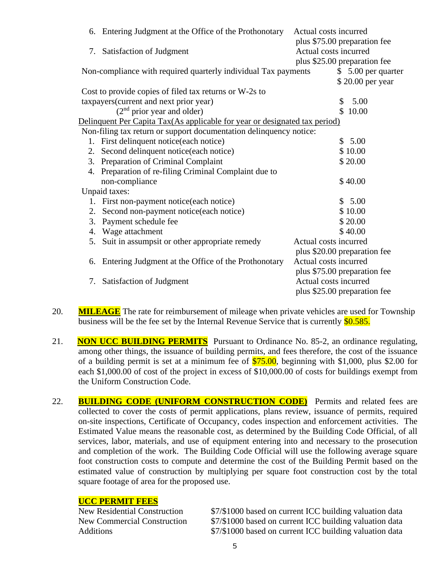|                                                                            | 6. Entering Judgment at the Office of the Prothonotary             | Actual costs incurred        |  |  |
|----------------------------------------------------------------------------|--------------------------------------------------------------------|------------------------------|--|--|
|                                                                            |                                                                    | plus \$75.00 preparation fee |  |  |
|                                                                            | Actual costs incurred<br>7. Satisfaction of Judgment               |                              |  |  |
|                                                                            |                                                                    | plus \$25.00 preparation fee |  |  |
|                                                                            | Non-compliance with required quarterly individual Tax payments     | $$5.00$ per quarter          |  |  |
|                                                                            |                                                                    | \$20.00 per year             |  |  |
|                                                                            | Cost to provide copies of filed tax returns or W-2s to             |                              |  |  |
|                                                                            | taxpayers(current and next prior year)                             | 5.00<br>\$                   |  |  |
|                                                                            | (2 <sup>nd</sup> prior year and older)                             | \$10.00                      |  |  |
| Delinquent Per Capita Tax(As applicable for year or designated tax period) |                                                                    |                              |  |  |
|                                                                            | Non-filing tax return or support documentation delinquency notice: |                              |  |  |
| 1.                                                                         | First delinquent notice(each notice)                               | 5.00<br>S.                   |  |  |
| 2.                                                                         | Second delinquent notice(each notice)                              | \$10.00                      |  |  |
| 3.                                                                         | Preparation of Criminal Complaint                                  | \$20.00                      |  |  |
|                                                                            | 4. Preparation of re-filing Criminal Complaint due to              |                              |  |  |
|                                                                            | non-compliance                                                     | \$40.00                      |  |  |
|                                                                            | Unpaid taxes:                                                      |                              |  |  |
| 1.                                                                         | First non-payment notice(each notice)                              | \$5.00                       |  |  |
| 2.                                                                         | Second non-payment notice(each notice)                             | \$10.00                      |  |  |
| 3.                                                                         | Payment schedule fee                                               | \$20.00                      |  |  |
| 4.                                                                         | Wage attachment                                                    | \$40.00                      |  |  |
| 5.                                                                         | Suit in assumpsit or other appropriate remedy                      | Actual costs incurred        |  |  |
|                                                                            |                                                                    | plus \$20.00 preparation fee |  |  |
| 6.                                                                         | Entering Judgment at the Office of the Prothonotary                | Actual costs incurred        |  |  |
|                                                                            |                                                                    | plus \$75.00 preparation fee |  |  |
| Satisfaction of Judgment<br>7.                                             |                                                                    | Actual costs incurred        |  |  |
|                                                                            |                                                                    | plus \$25.00 preparation fee |  |  |

- 20. **MILEAGE** The rate for reimbursement of mileage when private vehicles are used for Township business will be the fee set by the Internal Revenue Service that is currently \$0.585.
- 21. **NON UCC BUILDING PERMITS** Pursuant to Ordinance No. 85-2, an ordinance regulating, among other things, the issuance of building permits, and fees therefore, the cost of the issuance of a building permit is set at a minimum fee of  $$75.00$ , beginning with \$1,000, plus \$2.00 for each \$1,000.00 of cost of the project in excess of \$10,000.00 of costs for buildings exempt from the Uniform Construction Code.
- 22. **BUILDING CODE (UNIFORM CONSTRUCTION CODE)** Permits and related fees are collected to cover the costs of permit applications, plans review, issuance of permits, required on-site inspections, Certificate of Occupancy, codes inspection and enforcement activities. The Estimated Value means the reasonable cost, as determined by the Building Code Official, of all services, labor, materials, and use of equipment entering into and necessary to the prosecution and completion of the work. The Building Code Official will use the following average square foot construction costs to compute and determine the cost of the Building Permit based on the estimated value of construction by multiplying per square foot construction cost by the total square footage of area for the proposed use.

**UCC PERMIT FEES**<br>New Residential Construction

\$7/\$1000 based on current ICC building valuation data New Commercial Construction \$7/\$1000 based on current ICC building valuation data Additions  $$7/$1000 based on current ICC building valuation data$